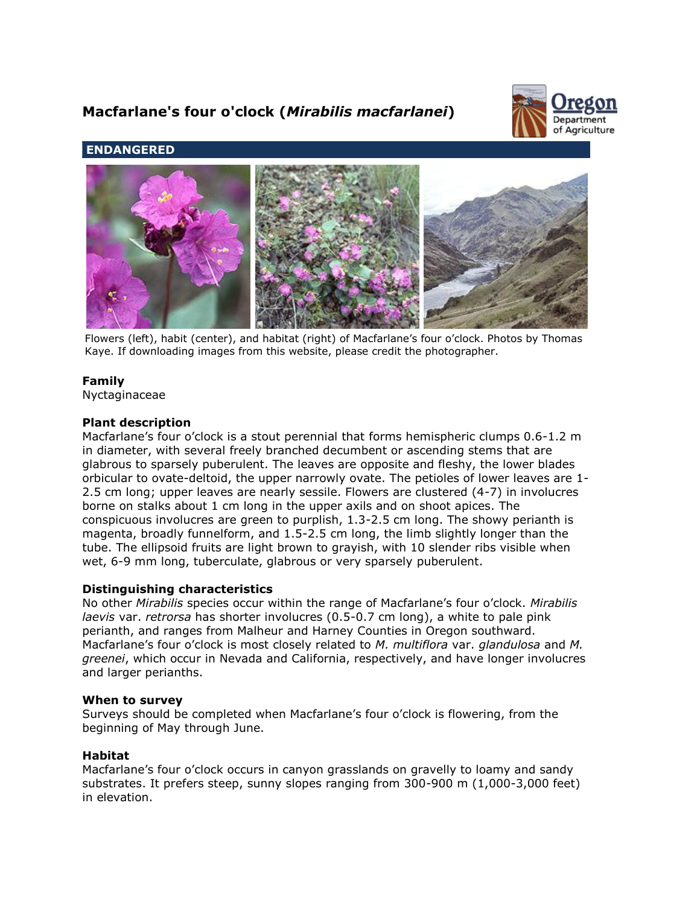# **Macfarlane's four o'clock (***Mirabilis macfarlanei***)**



# **ENDANGERED**



Flowers (left), habit (center), and habitat (right) of Macfarlane's four o'clock. Photos by Thomas Kaye. If downloading images from this website, please credit the photographer.

# **Family**

Nyctaginaceae

# **Plant description**

Macfarlane's four o'clock is a stout perennial that forms hemispheric clumps 0.6-1.2 m in diameter, with several freely branched decumbent or ascending stems that are glabrous to sparsely puberulent. The leaves are opposite and fleshy, the lower blades orbicular to ovate-deltoid, the upper narrowly ovate. The petioles of lower leaves are 1- 2.5 cm long; upper leaves are nearly sessile. Flowers are clustered (4-7) in involucres borne on stalks about 1 cm long in the upper axils and on shoot apices. The conspicuous involucres are green to purplish, 1.3-2.5 cm long. The showy perianth is magenta, broadly funnelform, and 1.5-2.5 cm long, the limb slightly longer than the tube. The ellipsoid fruits are light brown to grayish, with 10 slender ribs visible when wet, 6-9 mm long, tuberculate, glabrous or very sparsely puberulent.

# **Distinguishing characteristics**

No other *Mirabilis* species occur within the range of Macfarlane's four o'clock. *Mirabilis laevis* var. *retrorsa* has shorter involucres (0.5-0.7 cm long), a white to pale pink perianth, and ranges from Malheur and Harney Counties in Oregon southward. Macfarlane's four o'clock is most closely related to *M. multiflora* var. *glandulosa* and *M. greenei*, which occur in Nevada and California, respectively, and have longer involucres and larger perianths.

# **When to survey**

Surveys should be completed when Macfarlane's four o'clock is flowering, from the beginning of May through June.

# **Habitat**

Macfarlane's four o'clock occurs in canyon grasslands on gravelly to loamy and sandy substrates. It prefers steep, sunny slopes ranging from 300-900 m (1,000-3,000 feet) in elevation.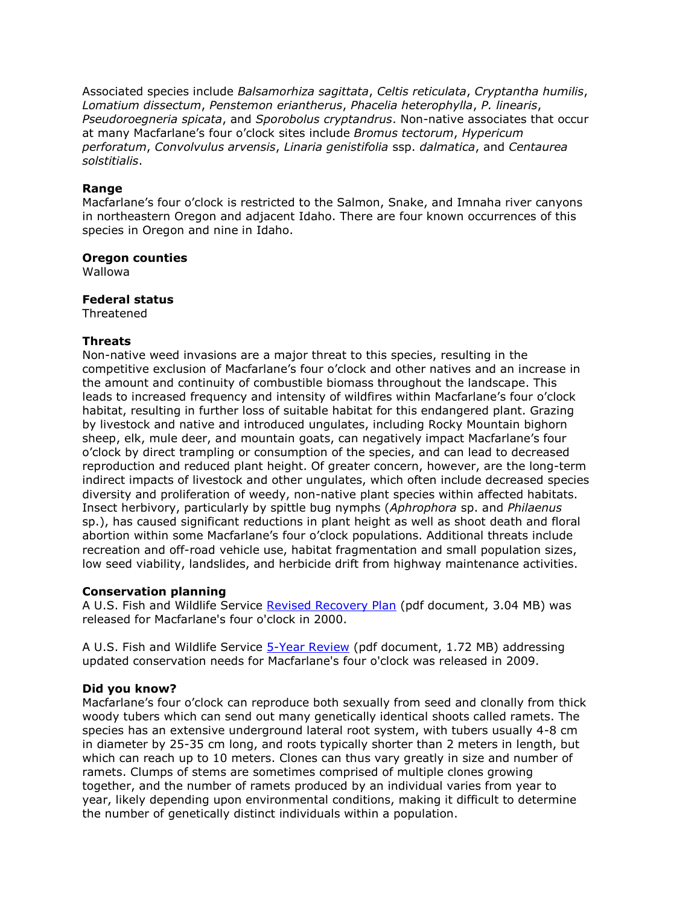Associated species include *Balsamorhiza sagittata*, *Celtis reticulata*, *Cryptantha humilis*, *Lomatium dissectum*, *Penstemon eriantherus*, *Phacelia heterophylla*, *P. linearis*, *Pseudoroegneria spicata*, and *Sporobolus cryptandrus*. Non-native associates that occur at many Macfarlane's four o'clock sites include *Bromus tectorum*, *Hypericum perforatum*, *Convolvulus arvensis*, *Linaria genistifolia* ssp. *dalmatica*, and *Centaurea solstitialis*.

# **Range**

Macfarlane's four o'clock is restricted to the Salmon, Snake, and Imnaha river canyons in northeastern Oregon and adjacent Idaho. There are four known occurrences of this species in Oregon and nine in Idaho.

# **Oregon counties**

Wallowa

#### **Federal status**

Threatened

# **Threats**

Non-native weed invasions are a major threat to this species, resulting in the competitive exclusion of Macfarlane's four o'clock and other natives and an increase in the amount and continuity of combustible biomass throughout the landscape. This leads to increased frequency and intensity of wildfires within Macfarlane's four o'clock habitat, resulting in further loss of suitable habitat for this endangered plant. Grazing by livestock and native and introduced ungulates, including Rocky Mountain bighorn sheep, elk, mule deer, and mountain goats, can negatively impact Macfarlane's four o'clock by direct trampling or consumption of the species, and can lead to decreased reproduction and reduced plant height. Of greater concern, however, are the long-term indirect impacts of livestock and other ungulates, which often include decreased species diversity and proliferation of weedy, non-native plant species within affected habitats. Insect herbivory, particularly by spittle bug nymphs (*Aphrophora* sp. and *Philaenus* sp.), has caused significant reductions in plant height as well as shoot death and floral abortion within some Macfarlane's four o'clock populations. Additional threats include recreation and off-road vehicle use, habitat fragmentation and small population sizes, low seed viability, landslides, and herbicide drift from highway maintenance activities.

# **Conservation planning**

A U.S. Fish and Wildlife Service [Revised Recovery Plan](http://ecos.fws.gov/docs/recovery_plan/000630.pdf) (pdf document, 3.04 MB) was released for Macfarlane's four o'clock in 2000.

A U.S. Fish and Wildlife Service [5-Year Review](http://ecos.fws.gov/docs/five_year_review/doc2614.pdf) (pdf document, 1.72 MB) addressing updated conservation needs for Macfarlane's four o'clock was released in 2009.

# **Did you know?**

Macfarlane's four o'clock can reproduce both sexually from seed and clonally from thick woody tubers which can send out many genetically identical shoots called ramets. The species has an extensive underground lateral root system, with tubers usually 4-8 cm in diameter by 25-35 cm long, and roots typically shorter than 2 meters in length, but which can reach up to 10 meters. Clones can thus vary greatly in size and number of ramets. Clumps of stems are sometimes comprised of multiple clones growing together, and the number of ramets produced by an individual varies from year to year, likely depending upon environmental conditions, making it difficult to determine the number of genetically distinct individuals within a population.